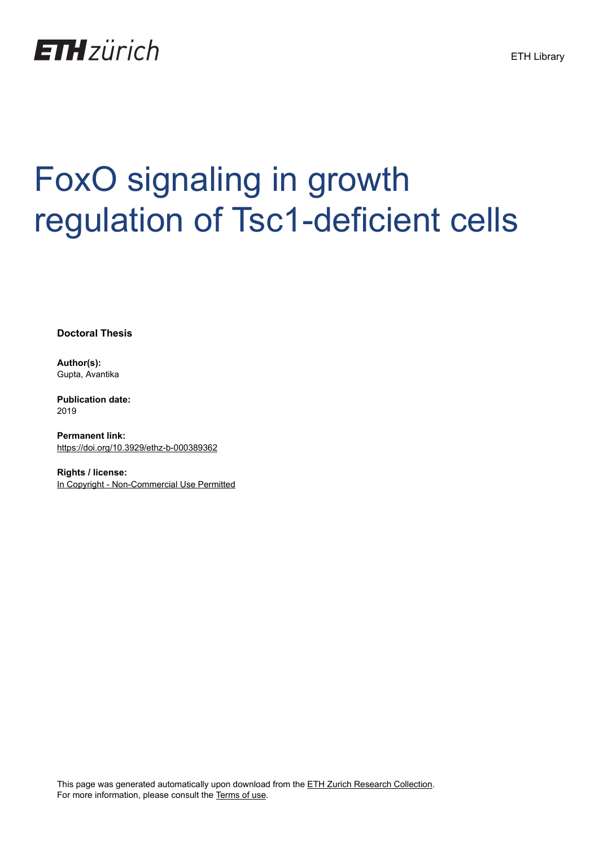

# FoxO signaling in growth regulation of Tsc1-deficient cells

**Doctoral Thesis**

**Author(s):** Gupta, Avantika

**Publication date:** 2019

**Permanent link:** <https://doi.org/10.3929/ethz-b-000389362>

**Rights / license:** [In Copyright - Non-Commercial Use Permitted](http://rightsstatements.org/page/InC-NC/1.0/)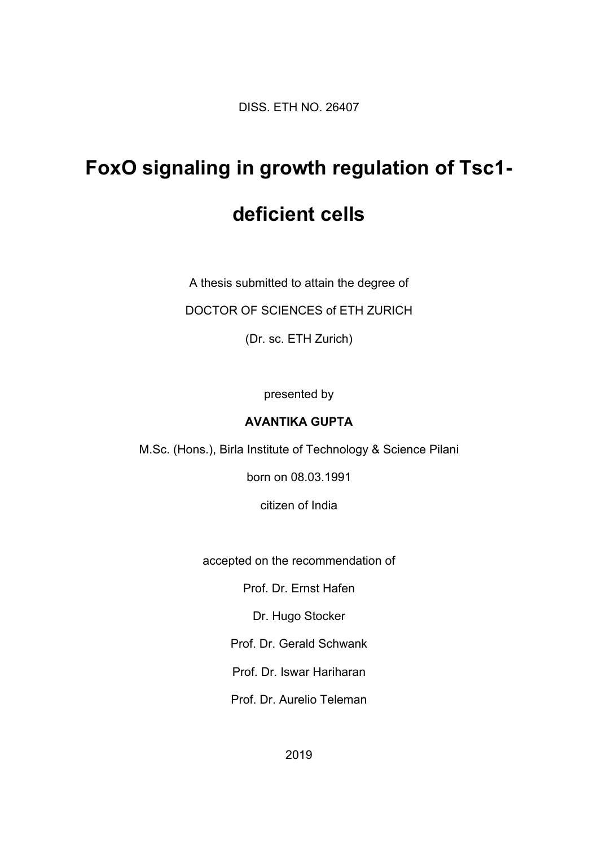DISS. ETH NO. 26407

## **FoxO signaling in growth regulation of Tsc1-**

### **deficient cells**

A thesis submitted to attain the degree of

DOCTOR OF SCIENCES of ETH ZURICH

(Dr. sc. ETH Zurich)

presented by

#### **AVANTIKA GUPTA**

M.Sc. (Hons.), Birla Institute of Technology & Science Pilani

born on 08.03.1991

citizen of India

accepted on the recommendation of

Prof. Dr. Ernst Hafen

Dr. Hugo Stocker

Prof. Dr. Gerald Schwank

Prof. Dr. Iswar Hariharan

Prof. Dr. Aurelio Teleman

2019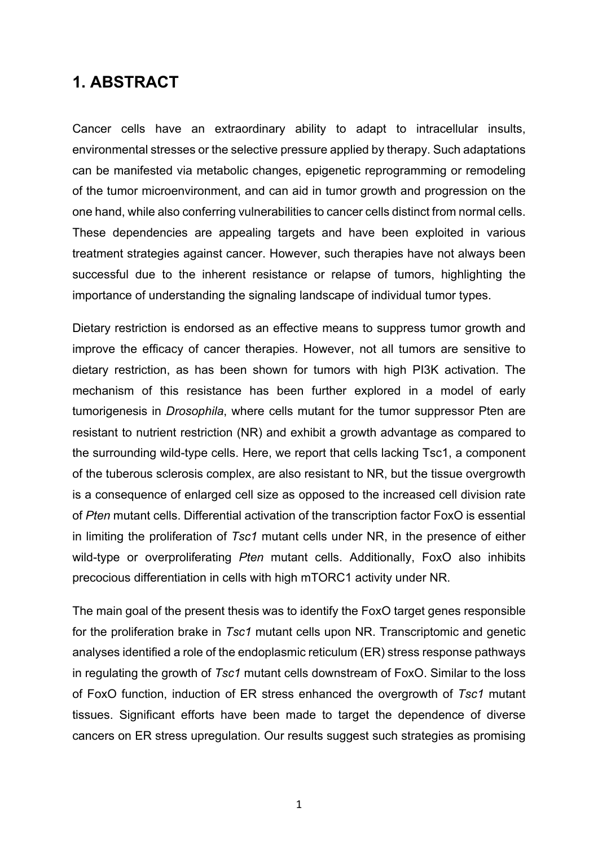#### **1. ABSTRACT**

Cancer cells have an extraordinary ability to adapt to intracellular insults, environmental stresses or the selective pressure applied by therapy. Such adaptations can be manifested via metabolic changes, epigenetic reprogramming or remodeling of the tumor microenvironment, and can aid in tumor growth and progression on the one hand, while also conferring vulnerabilities to cancer cells distinct from normal cells. These dependencies are appealing targets and have been exploited in various treatment strategies against cancer. However, such therapies have not always been successful due to the inherent resistance or relapse of tumors, highlighting the importance of understanding the signaling landscape of individual tumor types.

Dietary restriction is endorsed as an effective means to suppress tumor growth and improve the efficacy of cancer therapies. However, not all tumors are sensitive to dietary restriction, as has been shown for tumors with high PI3K activation. The mechanism of this resistance has been further explored in a model of early tumorigenesis in *Drosophila*, where cells mutant for the tumor suppressor Pten are resistant to nutrient restriction (NR) and exhibit a growth advantage as compared to the surrounding wild-type cells. Here, we report that cells lacking Tsc1, a component of the tuberous sclerosis complex, are also resistant to NR, but the tissue overgrowth is a consequence of enlarged cell size as opposed to the increased cell division rate of *Pten* mutant cells. Differential activation of the transcription factor FoxO is essential in limiting the proliferation of *Tsc1* mutant cells under NR, in the presence of either wild-type or overproliferating *Pten* mutant cells. Additionally, FoxO also inhibits precocious differentiation in cells with high mTORC1 activity under NR.

The main goal of the present thesis was to identify the FoxO target genes responsible for the proliferation brake in *Tsc1* mutant cells upon NR. Transcriptomic and genetic analyses identified a role of the endoplasmic reticulum (ER) stress response pathways in regulating the growth of *Tsc1* mutant cells downstream of FoxO. Similar to the loss of FoxO function, induction of ER stress enhanced the overgrowth of *Tsc1* mutant tissues. Significant efforts have been made to target the dependence of diverse cancers on ER stress upregulation. Our results suggest such strategies as promising

1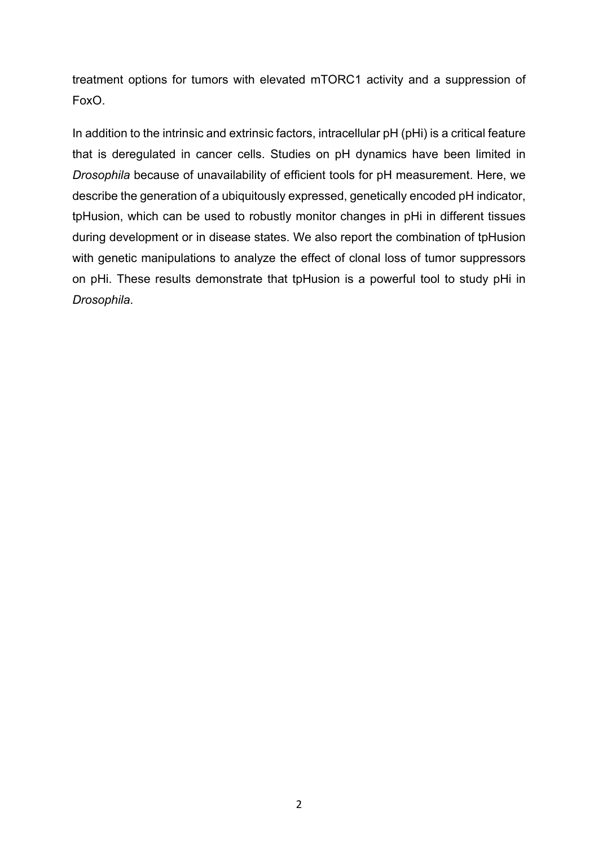treatment options for tumors with elevated mTORC1 activity and a suppression of FoxO.

In addition to the intrinsic and extrinsic factors, intracellular pH (pHi) is a critical feature that is deregulated in cancer cells. Studies on pH dynamics have been limited in *Drosophila* because of unavailability of efficient tools for pH measurement. Here, we describe the generation of a ubiquitously expressed, genetically encoded pH indicator, tpHusion, which can be used to robustly monitor changes in pHi in different tissues during development or in disease states. We also report the combination of tpHusion with genetic manipulations to analyze the effect of clonal loss of tumor suppressors on pHi. These results demonstrate that tpHusion is a powerful tool to study pHi in *Drosophila*.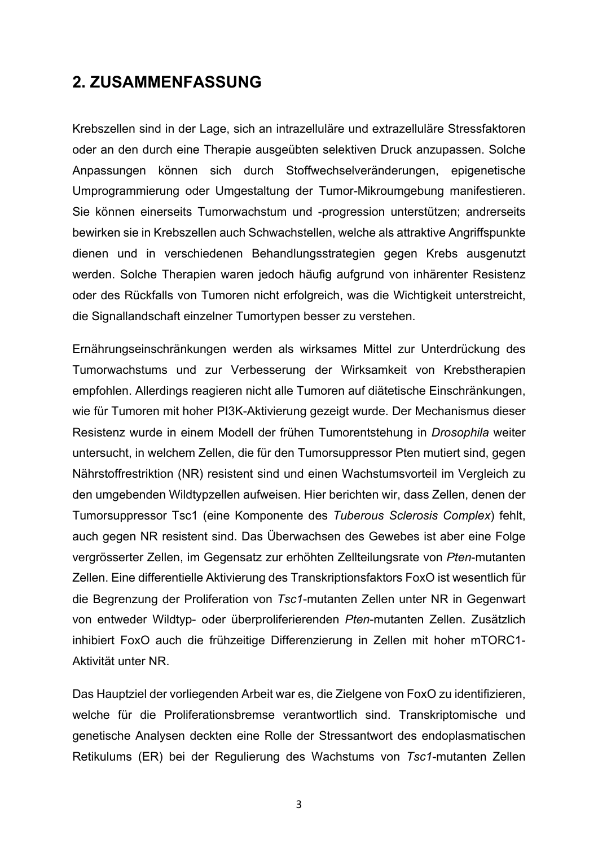#### **2. ZUSAMMENFASSUNG**

Krebszellen sind in der Lage, sich an intrazelluläre und extrazelluläre Stressfaktoren oder an den durch eine Therapie ausgeübten selektiven Druck anzupassen. Solche Anpassungen können sich durch Stoffwechselveränderungen, epigenetische Umprogrammierung oder Umgestaltung der Tumor-Mikroumgebung manifestieren. Sie können einerseits Tumorwachstum und -progression unterstützen; andrerseits bewirken sie in Krebszellen auch Schwachstellen, welche als attraktive Angriffspunkte dienen und in verschiedenen Behandlungsstrategien gegen Krebs ausgenutzt werden. Solche Therapien waren jedoch häufig aufgrund von inhärenter Resistenz oder des Rückfalls von Tumoren nicht erfolgreich, was die Wichtigkeit unterstreicht, die Signallandschaft einzelner Tumortypen besser zu verstehen.

Ernährungseinschränkungen werden als wirksames Mittel zur Unterdrückung des Tumorwachstums und zur Verbesserung der Wirksamkeit von Krebstherapien empfohlen. Allerdings reagieren nicht alle Tumoren auf diätetische Einschränkungen, wie für Tumoren mit hoher PI3K-Aktivierung gezeigt wurde. Der Mechanismus dieser Resistenz wurde in einem Modell der frühen Tumorentstehung in *Drosophila* weiter untersucht, in welchem Zellen, die für den Tumorsuppressor Pten mutiert sind, gegen Nährstoffrestriktion (NR) resistent sind und einen Wachstumsvorteil im Vergleich zu den umgebenden Wildtypzellen aufweisen. Hier berichten wir, dass Zellen, denen der Tumorsuppressor Tsc1 (eine Komponente des *Tuberous Sclerosis Complex*) fehlt, auch gegen NR resistent sind. Das Überwachsen des Gewebes ist aber eine Folge vergrösserter Zellen, im Gegensatz zur erhöhten Zellteilungsrate von *Pten*-mutanten Zellen. Eine differentielle Aktivierung des Transkriptionsfaktors FoxO ist wesentlich für die Begrenzung der Proliferation von *Tsc1*-mutanten Zellen unter NR in Gegenwart von entweder Wildtyp- oder überproliferierenden *Pten*-mutanten Zellen. Zusätzlich inhibiert FoxO auch die frühzeitige Differenzierung in Zellen mit hoher mTORC1- Aktivität unter NR.

Das Hauptziel der vorliegenden Arbeit war es, die Zielgene von FoxO zu identifizieren, welche für die Proliferationsbremse verantwortlich sind. Transkriptomische und genetische Analysen deckten eine Rolle der Stressantwort des endoplasmatischen Retikulums (ER) bei der Regulierung des Wachstums von *Tsc1*-mutanten Zellen

3